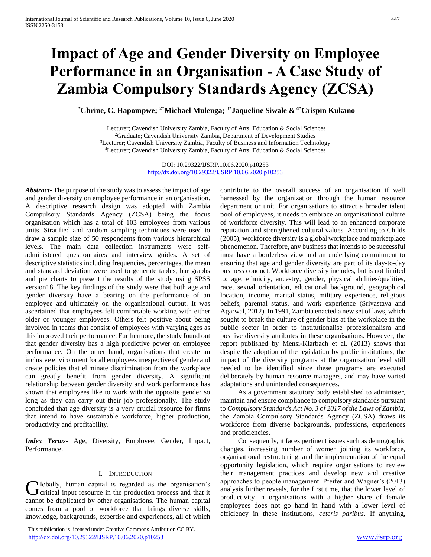# **Impact of Age and Gender Diversity on Employee Performance in an Organisation - A Case Study of Zambia Compulsory Standards Agency (ZCSA)**

**1\*Chrine, C. Hapompwe; 2\*Michael Mulenga; 3\*Jaqueline Siwale & 4\*Crispin Kukano**

<sup>1</sup>Lecturer; Cavendish University Zambia, Faculty of Arts, Education & Social Sciences Graduate; Cavendish University Zambia, Department of Development Studies Lecturer; Cavendish University Zambia, Faculty of Business and Information Technology Lecturer; Cavendish University Zambia, Faculty of Arts, Education & Social Sciences

> DOI: 10.29322/IJSRP.10.06.2020.p10253 <http://dx.doi.org/10.29322/IJSRP.10.06.2020.p10253>

*Abstract***-** The purpose of the study was to assess the impact of age and gender diversity on employee performance in an organisation. A descriptive research design was adopted with Zambia Compulsory Standards Agency (ZCSA) being the focus organisation which has a total of 103 employees from various units. Stratified and random sampling techniques were used to draw a sample size of 50 respondents from various hierarchical levels. The main data collection instruments were selfadministered questionnaires and interview guides. A set of descriptive statistics including frequencies, percentages, the mean and standard deviation were used to generate tables, bar graphs and pie charts to present the results of the study using SPSS version18. The key findings of the study were that both age and gender diversity have a bearing on the performance of an employee and ultimately on the organisational output. It was ascertained that employees felt comfortable working with either older or younger employees. Others felt positive about being involved in teams that consist of employees with varying ages as this improved their performance. Furthermore, the study found out that gender diversity has a high predictive power on employee performance. On the other hand, organisations that create an inclusive environment for all employees irrespective of gender and create policies that eliminate discrimination from the workplace can greatly benefit from gender diversity. A significant relationship between gender diversity and work performance has shown that employees like to work with the opposite gender so long as they can carry out their job professionally. The study concluded that age diversity is a very crucial resource for firms that intend to have sustainable workforce, higher production, productivity and profitability.

*Index Terms*- Age, Diversity, Employee, Gender, Impact, Performance.

#### I. INTRODUCTION

lobally, human capital is regarded as the organisation's Globally, human capital is regarded as the organisation's Critical input resource in the production process and that it cannot be duplicated by other organisations. The human capital comes from a pool of workforce that brings diverse skills, knowledge, backgrounds, expertise and experiences, all of which

 This publication is licensed under Creative Commons Attribution CC BY. <http://dx.doi.org/10.29322/IJSRP.10.06.2020.p10253> [www.ijsrp.org](http://ijsrp.org/)

contribute to the overall success of an organisation if well harnessed by the organization through the human resource department or unit. For organisations to attract a broader talent pool of employees, it needs to embrace an organisational culture of workforce diversity. This will lead to an enhanced corporate reputation and strengthened cultural values. According to Childs (2005), workforce diversity is a global workplace and marketplace phenomenon. Therefore, any business that intends to be successful must have a borderless view and an underlying commitment to ensuring that age and gender diversity are part of its day-to-day business conduct. Workforce diversity includes, but is not limited to: age, ethnicity, ancestry, gender, physical abilities/qualities, race, sexual orientation, educational background, geographical location, income, marital status, military experience, religious beliefs, parental status, and work experience (Srivastava and Agarwal, 2012). In 1991, Zambia enacted a new set of laws, which sought to break the culture of gender bias at the workplace in the public sector in order to institutionalise professionalism and positive diversity attributes in these organisations. However, the report published by Mensi-Klarbach et al. (2013) shows that despite the adoption of the legislation by public institutions, the impact of the diversity programs at the organisation level still needed to be identified since these programs are executed deliberately by human resource managers, and may have varied adaptations and unintended consequences.

 As a government statutory body established to administer, maintain and ensure compliance to compulsory standards pursuant to *Compulsory Standards Act No. 3 of 2017 of the Laws of Zambia*, the Zambia Compulsory Standards Agency (ZCSA) draws its workforce from diverse backgrounds, professions, experiences and proficiencies.

 Consequently, it faces pertinent issues such as demographic changes, increasing number of women joining its workforce, organisational restructuring, and the implementation of the equal opportunity legislation, which require organisations to review their management practices and develop new and creative approaches to people management. Pfeifer and Wagner's (2013) analysis further reveals, for the first time, that the lower level of productivity in organisations with a higher share of female employees does not go hand in hand with a lower level of efficiency in these institutions, *ceteris paribus*. If anything,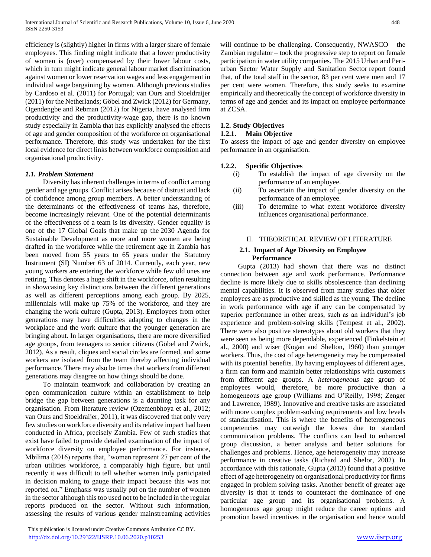efficiency is (slightly) higher in firms with a larger share of female employees. This finding might indicate that a lower productivity of women is (over) compensated by their lower labour costs, which in turn might indicate general labour market discrimination against women or lower reservation wages and less engagement in individual wage bargaining by women. Although previous studies by Cardoso et al. (2011) for Portugal; van Ours and Stoeldraijer (2011) for the Netherlands; Göbel and Zwick (2012) for Germany, Ogendengbe and Rebman (2012) for Nigeria, have analysed firm productivity and the productivity-wage gap, there is no known study especially in Zambia that has explicitly analysed the effects of age and gender composition of the workforce on organisational performance. Therefore, this study was undertaken for the first local evidence for direct links between workforce composition and organisational productivity.

#### *1.1. Problem Statement*

 Diversity has inherent challenges in terms of conflict among gender and age groups. Conflict arises because of distrust and lack of confidence among group members. A better understanding of the determinants of the effectiveness of teams has, therefore, become increasingly relevant. One of the potential determinants of the effectiveness of a team is its diversity. Gender equality is one of the 17 Global Goals that make up the 2030 Agenda for Sustainable Development as more and more women are being drafted in the workforce while the retirement age in Zambia has been moved from 55 years to 65 years under the Statutory Instrument (SI) Number 63 of 2014. Currently, each year, new young workers are entering the workforce while few old ones are retiring. This denotes a huge shift in the workforce, often resulting in showcasing key distinctions between the different generations as well as different perceptions among each group. By 2025, millennials will make up 75% of the workforce, and they are changing the work culture (Gupta, 2013). Employees from other generations may have difficulties adapting to changes in the workplace and the work culture that the younger generation are bringing about. In larger organisations, there are more diversified age groups, from teenagers to senior citizens (Göbel and Zwick, 2012). As a result, cliques and social circles are formed, and some workers are isolated from the team thereby affecting individual performance. There may also be times that workers from different generations may disagree on how things should be done.

 To maintain teamwork and collaboration by creating an open communication culture within an establishment to help bridge the gap between generations is a daunting task for any organisation. From literature review (Ozemenbhoya et al., 2012; van Ours and Stoeldraijer, 2011), it was discovered that only very few studies on workforce diversity and its relative impact had been conducted in Africa, precisely Zambia. Few of such studies that exist have failed to provide detailed examination of the impact of workforce diversity on employee performance. For instance, Mbilima (2016) reports that, "women represent 27 per cent of the urban utilities workforce, a comparably high figure, but until recently it was difficult to tell whether women truly participated in decision making to gauge their impact because this was not reported on." Emphasis was usually put on the number of women in the sector although this too used not to be included in the regular reports produced on the sector. Without such information, assessing the results of various gender mainstreaming activities

 This publication is licensed under Creative Commons Attribution CC BY. <http://dx.doi.org/10.29322/IJSRP.10.06.2020.p10253> [www.ijsrp.org](http://ijsrp.org/)

will continue to be challenging. Consequently, NWASCO – the Zambian regulator – took the progressive step to report on female participation in water utility companies. The 2015 Urban and Periurban Sector Water Supply and Sanitation Sector report found that, of the total staff in the sector, 83 per cent were men and 17 per cent were women. Therefore, this study seeks to examine empirically and theoretically the concept of workforce diversity in terms of age and gender and its impact on employee performance at ZCSA.

## **1.2. Study Objectives**

#### **1.2.1. Main Objective**

To assess the impact of age and gender diversity on employee performance in an organisation.

#### **1.2.2. Specific Objectives**

- (i) To establish the impact of age diversity on the performance of an employee.
- (ii) To ascertain the impact of gender diversity on the performance of an employee.
- (iii) To determine to what extent workforce diversity influences organisational performance.

#### II. THEORETICAL REVIEW OF LITERATURE

#### **2.1. Impact of Age Diversity on Employee Performance**

 Gupta (2013) had shown that there was no distinct connection between age and work performance. Performance decline is more likely due to skills obsolescence than declining mental capabilities. It is observed from many studies that older employees are as productive and skilled as the young. The decline in work performance with age if any can be compensated by superior performance in other areas, such as an individual's job experience and problem-solving skills (Tempest et al., 2002). There were also positive stereotypes about old workers that they were seen as being more dependable, experienced (Finkelstein et al., 2000) and wiser (Kogan and Shelton, 1960) than younger workers. Thus, the cost of age heterogeneity may be compensated with its potential benefits. By having employees of different ages, a firm can form and maintain better relationships with customers from different age groups. A *heterogeneous* age group of employees would, therefore, be more productive than a homogeneous age group (Williams and O'Reilly, 1998; Zenger and Lawrence, 1989). Innovative and creative tasks are associated with more complex problem-solving requirements and low levels of standardisation. This is where the benefits of heterogeneous competencies may outweigh the losses due to standard communication problems. The conflicts can lead to enhanced group discussion, a better analysis and better solutions for challenges and problems. Hence, age heterogeneity may increase performance in creative tasks (Richard and Shelor, 2002). In accordance with this rationale, Gupta (2013) found that a positive effect of age heterogeneity on organisational productivity for firms engaged in problem solving tasks. Another benefit of greater age diversity is that it tends to counteract the dominance of one particular age group and its organisational problems. A homogeneous age group might reduce the career options and promotion based incentives in the organisation and hence would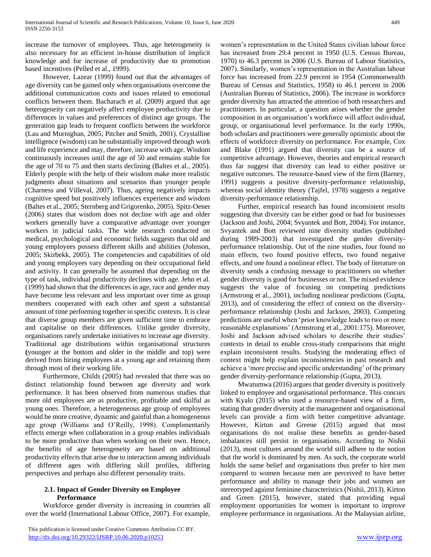increase the turnover of employees. Thus, age heterogeneity is also necessary for an efficient in-house distribution of implicit knowledge and for increase of productivity due to promotion based incentives (Pelled et al., 1999).

 However, Lazear (1999) found out that the advantages of age diversity can be gained only when organisations overcome the additional communication costs and issues related to emotional conflicts between them. Bacharach et al. (2009) argued that age heterogeneity can negatively affect employee productivity due to differences in values and preferences of distinct age groups. The generation gap leads to frequent conflicts between the workforce (Lau and Murnighan, 2005; Pitcher and Smith, 2001). Crystalline intelligence (wisdom) can be substantially improved through work and life experience and may, therefore, increase with age. Wisdom continuously increases until the age of 50 and remains stable for the age of 70 to 75 and then starts declining (Baltes et al., 2005). Elderly people with the help of their wisdom make more realistic judgments about situations and scenarios than younger people (Charness and Villeval, 2007). Thus, ageing negatively impacts cognitive speed but positively influences experience and wisdom (Baltes et al., 2005; Sternberg and Grigorenko, 2005). Spitz-Oener (2006) states that wisdom does not decline with age and older workers generally have a comparative advantage over younger workers in judicial tasks. The wide research conducted on medical, psychological and economic fields suggests that old and young employees possess different skills and abilities (Johnson, 2005; Skirbekk, 2005). The competencies and capabilities of old and young employees vary depending on their occupational field and activity. It can generally be assumed that depending on the type of task, individual productivity declines with age. Jehn et al. (1999) had shown that the differences in age, race and gender may have become less relevant and less important over time as group members cooperated with each other and spent a substantial amount of time performing together in specific contexts. It is clear that diverse group members are given sufficient time to embrace and capitalise on their differences. Unlike gender diversity, organisations rarely undertake initiatives to increase age diversity. Traditional age distributions within organisational structures **(**younger at the bottom and older in the middle and top) were derived from hiring employees at a young age and retaining them through most of their working life.

 Furthermore, Childs (2005) had revealed that there was no distinct relationship found between age diversity and work performance. It has been observed from numerous studies that more old employees are as productive, profitable and skilful as young ones. Therefore, a heterogeneous age group of employees would be more creative, dynamic and gainful than a homogeneous age group (Williams and O'Reilly, 1998). Complimentarily effects emerge when collaboration in a group enables individuals to be more productive than when working on their own. Hence, the benefits of age heterogeneity are based on additional productivity effects that arise due to interaction among individuals of different ages with differing skill profiles, differing perspectives and perhaps also different personality traits.

## **2.1. Impact of Gender Diversity on Employee Performance**

 Workforce gender diversity is increasing in countries all over the world (International Labour Office, 2007). For example, women's representation in the United States civilian labour force has increased from 29.4 percent in 1950 (U.S. Census Bureau, 1970) to 46.3 percent in 2006 (U.S. Bureau of Labour Statistics, 2007). Similarly, women's representation in the Australian labour force has increased from 22.9 percent in 1954 (Commonwealth Bureau of Census and Statistics, 1958) to 46.1 percent in 2006 (Australian Bureau of Statistics, 2006). The increase in workforce gender diversity has attracted the attention of both researchers and practitioners. In particular, a question arises whether the gender composition in an organisation's workforce will affect individual, group, or organisational level performance. In the early 1990s, both scholars and practitioners were generally optimistic about the effects of workforce diversity on performance. For example, Cox and Blake (1991) argued that diversity can be a source of competitive advantage. However, theories and empirical research thus far suggest that diversity can lead to either positive or negative outcomes. The resource-based view of the firm (Barney, 1991) suggests a positive diversity-performance relationship, whereas social identity theory (Tajfel, 1978) suggests a negative diversity-performance relationship.

 Further, empirical research has found inconsistent results suggesting that diversity can be either good or bad for businesses (Jackson and Joshi, 2004; Svyantek and Bott, 2004). For instance, Svyantek and Bott reviewed nine diversity studies (published during 1989-2003) that investigated the gender diversityperformance relationship. Out of the nine studies, four found no main effects, two found positive effects, two found negative effects, and one found a nonlinear effect. The body of literature on diversity sends a confusing message to practitioners on whether gender diversity is good for businesses or not. The mixed evidence suggests the value of focusing on competing predictions (Armstrong et al., 2001), including nonlinear predictions (Gupta, 2013), and of considering the effect of context on the diversityperformance relationship (Joshi and Jackson, 2003). Competing predictions are useful when 'prior knowledge leads to two or more reasonable explanations' (Armstrong et al., 2001:175). Moreover, Joshi and Jackson advised scholars to describe their studies' contexts in detail to enable cross-study comparisons that might explain inconsistent results. Studying the moderating effect of context might help explain inconsistencies in past research and achieve a 'more precise and specific understanding' of the primary gender diversity-performance relationship (Gupta, 2013).

 Mwatumwa (2016) argues that gender diversity is positively linked to employee and organisational performance. This concurs with Kyalo (2015) who used a resource-based view of a firm, stating that gender diversity at the management and organisational levels can provide a firm with better competitive advantage. However, Kirton and Greene (2015) argued that most organisations do not realise these benefits as gender-based imbalances still persist in organisations. According to Nishii (2013), most cultures around the world still adhere to the notion that the world is dominated by men. As such, the corporate world holds the same belief and organisations thus prefer to hire men compared to women because men are perceived to have better performance and ability to manage their jobs and women are stereotyped against feminine characteristics (Nishii, 2013). Kirton and Green (2015), however, stated that providing equal employment opportunities for women is important to improve employee performance in organisations. At the Malaysian airline,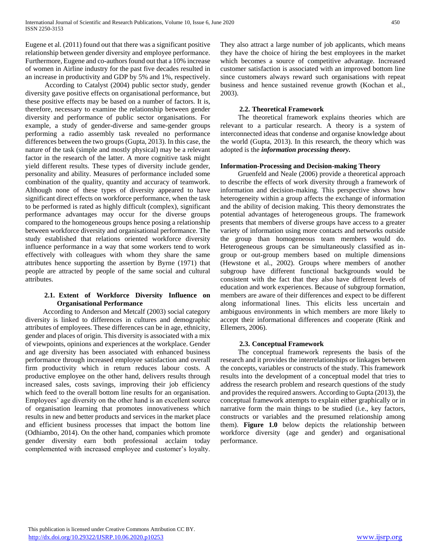Eugene et al. (2011) found out that there was a significant positive relationship between gender diversity and employee performance. Furthermore, Eugene and co-authors found out that a 10% increase of women in Airline industry for the past five decades resulted in an increase in productivity and GDP by 5% and 1%, respectively.

 According to Catalyst (2004) public sector study, gender diversity gave positive effects on organisational performance, but these positive effects may be based on a number of factors. It is, therefore, necessary to examine the relationship between gender diversity and performance of public sector organisations. For example, a study of gender-diverse and same-gender groups performing a radio assembly task revealed no performance differences between the two groups (Gupta, 2013). In this case, the nature of the task (simple and mostly physical) may be a relevant factor in the research of the latter. A more cognitive task might yield different results. These types of diversity include gender, personality and ability. Measures of performance included some combination of the quality, quantity and accuracy of teamwork. Although none of these types of diversity appeared to have significant direct effects on workforce performance, when the task to be performed is rated as highly difficult (complex), significant performance advantages may occur for the diverse groups compared to the homogeneous groups hence posing a relationship between workforce diversity and organisational performance. The study established that relations oriented workforce diversity influence performance in a way that some workers tend to work effectively with colleagues with whom they share the same attributes hence supporting the assertion by Byrne (1971) that people are attracted by people of the same social and cultural attributes.

#### **2.1. Extent of Workforce Diversity Influence on Organisational Performance**

 According to Anderson and Metcalf (2003) social category diversity is linked to differences in cultures and demographic attributes of employees. These differences can be in age, ethnicity, gender and places of origin. This diversity is associated with a mix of viewpoints, opinions and experiences at the workplace. Gender and age diversity has been associated with enhanced business performance through increased employee satisfaction and overall firm productivity which in return reduces labour costs. A productive employee on the other hand, delivers results through increased sales, costs savings, improving their job efficiency which feed to the overall bottom line results for an organisation. Employees' age diversity on the other hand is an excellent source of organisation learning that promotes innovativeness which results in new and better products and services in the market place and efficient business processes that impact the bottom line (Odhiambo, 2014). On the other hand, companies which promote gender diversity earn both professional acclaim today complemented with increased employee and customer's loyalty.

They also attract a large number of job applicants, which means they have the choice of hiring the best employees in the market which becomes a source of competitive advantage. Increased customer satisfaction is associated with an improved bottom line since customers always reward such organisations with repeat business and hence sustained revenue growth (Kochan et al., 2003).

#### **2.2. Theoretical Framework**

 The theoretical framework explains theories which are relevant to a particular research. A theory is a system of interconnected ideas that condense and organise knowledge about the world (Gupta, 2013). In this research, the theory which was adopted is the *information processing theory.*

#### **Information-Processing and Decision-making Theory**

 Gruenfeld and Neale (2006) provide a theoretical approach to describe the effects of work diversity through a framework of information and decision-making. This perspective shows how heterogeneity within a group affects the exchange of information and the ability of decision making. This theory demonstrates the potential advantages of heterogeneous groups. The framework presents that members of diverse groups have access to a greater variety of information using more contacts and networks outside the group than homogeneous team members would do. Heterogeneous groups can be simultaneously classified as ingroup or out-group members based on multiple dimensions (Hewstone et al., 2002). Groups where members of another subgroup have different functional backgrounds would be consistent with the fact that they also have different levels of education and work experiences. Because of subgroup formation, members are aware of their differences and expect to be different along informational lines. This elicits less uncertain and ambiguous environments in which members are more likely to accept their informational differences and cooperate (Rink and Ellemers, 2006).

#### **2.3. Conceptual Framework**

 The conceptual framework represents the basis of the research and it provides the interrelationships or linkages between the concepts, variables or constructs of the study. This framework results into the development of a conceptual model that tries to address the research problem and research questions of the study and provides the required answers. According to Gupta (2013), the conceptual framework attempts to explain either graphically or in narrative form the main things to be studied (i.e., key factors, constructs or variables and the presumed relationship among them). **Figure 1.0** below depicts the relationship between workforce diversity (age and gender) and organisational performance.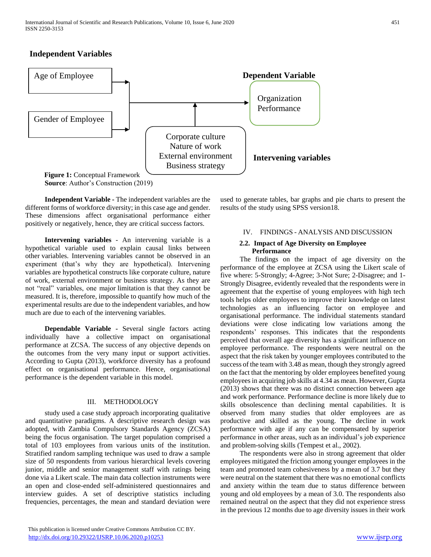## **Independent Variables**



 **Independent Variable -** The independent variables are the different forms of workforce diversity; in this case age and gender. These dimensions affect organisational performance either positively or negatively, hence, they are critical success factors.

 **Intervening variables** - An intervening variable is a hypothetical variable used to explain causal links between other variables. Intervening variables cannot be observed in an experiment (that's why they are hypothetical). Intervening variables are hypothetical constructs like corporate culture, nature of work, external environment or business strategy. As they are not "real" variables, one major limitation is that they cannot be measured. It is, therefore, impossible to quantify how much of the experimental results are due to the independent variables, and how much are due to each of the intervening variables.

 **Dependable Variable -** Several single factors acting individually have a collective impact on organisational performance at ZCSA. The success of any objective depends on the outcomes from the very many input or support activities. According to Gupta (2013), workforce diversity has a profound effect on organisational performance. Hence, organisational performance is the dependent variable in this model.

#### III. METHODOLOGY

study used a case study approach incorporating qualitative and quantitative paradigms. A descriptive research design was adopted, with Zambia Compulsory Standards Agency (ZCSA) being the focus organisation. The target population comprised a total of 103 employees from various units of the institution. Stratified random sampling technique was used to draw a sample size of 50 respondents from various hierarchical levels covering junior, middle and senior management staff with ratings being done via a Likert scale. The main data collection instruments were an open and close-ended self-administered questionnaires and interview guides. A set of descriptive statistics including frequencies, percentages, the mean and standard deviation were used to generate tables, bar graphs and pie charts to present the results of the study using SPSS version18.

## IV. FINDINGS - ANALYSIS AND DISCUSSION

#### **2.2. Impact of Age Diversity on Employee Performance**

The findings on the impact of age diversity on the performance of the employee at ZCSA using the Likert scale of five where: 5-Strongly; 4-Agree; 3-Not Sure; 2-Disagree; and 1- Strongly Disagree, evidently revealed that the respondents were in agreement that the expertise of young employees with high tech tools helps older employees to improve their knowledge on latest technologies as an influencing factor on employee and organisational performance. The individual statements standard deviations were close indicating low variations among the respondents' responses. This indicates that the respondents perceived that overall age diversity has a significant influence on employee performance. The respondents were neutral on the aspect that the risk taken by younger employees contributed to the success of the team with 3.48 as mean, though they strongly agreed on the fact that the mentoring by older employees benefited young employees in acquiring job skills at 4.34 as mean. However, Gupta (2013) shows that there was no distinct connection between age and work performance. Performance decline is more likely due to skills obsolescence than declining mental capabilities. It is observed from many studies that older employees are as productive and skilled as the young. The decline in work performance with age if any can be compensated by superior performance in other areas, such as an individual's job experience and problem-solving skills (Tempest et al., 2002).

The respondents were also in strong agreement that older employees mitigated the friction among younger employees in the team and promoted team cohesiveness by a mean of 3.7 but they were neutral on the statement that there was no emotional conflicts and anxiety within the team due to status difference between young and old employees by a mean of 3.0. The respondents also remained neutral on the aspect that they did not experience stress in the previous 12 months due to age diversity issues in their work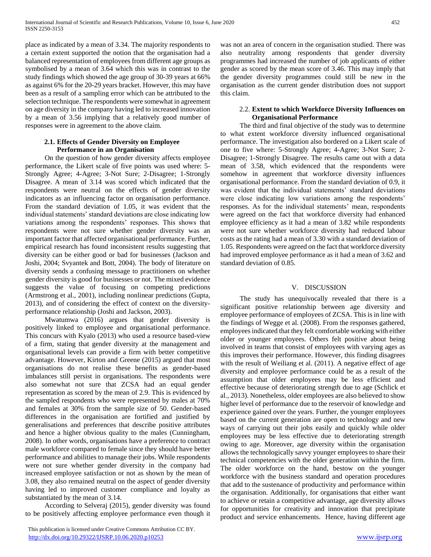place as indicated by a mean of 3.34. The majority respondents to a certain extent supported the notion that the organisation had a balanced representation of employees from different age groups as symbolised by a mean of 3.64 which this was in contrast to the study findings which showed the age group of 30-39 years at 66% as against 6% for the 20-29 years bracket. However, this may have been as a result of a sampling error which can be attributed to the selection technique. The respondents were somewhat in agreement on age diversity in the company having led to increased innovation by a mean of 3.56 implying that a relatively good number of responses were in agreement to the above claim.

#### **2.1. Effects of Gender Diversity on Employee Performance in an Organisation**

On the question of how gender diversity affects employee performance, the Likert scale of five points was used where: 5- Strongly Agree; 4-Agree; 3-Not Sure; 2-Disagree; 1-Strongly Disagree. A mean of 3.14 was scored which indicated that the respondents were neutral on the effects of gender diversity indicators as an influencing factor on organisation performance. From the standard deviation of 1.05, it was evident that the individual statements' standard deviations are close indicating low variations among the respondents' responses. This shows that respondents were not sure whether gender diversity was an important factor that affected organisational performance. Further, empirical research has found inconsistent results suggesting that diversity can be either good or bad for businesses (Jackson and Joshi, 2004; Svyantek and Bott, 2004). The body of literature on diversity sends a confusing message to practitioners on whether gender diversity is good for businesses or not. The mixed evidence suggests the value of focusing on competing predictions (Armstrong et al., 2001), including nonlinear predictions (Gupta, 2013), and of considering the effect of context on the diversityperformance relationship (Joshi and Jackson, 2003).

Mwatumwa (2016) argues that gender diversity is positively linked to employee and organisational performance. This concurs with Kyalo (2013) who used a resource based-view of a firm, stating that gender diversity at the management and organisational levels can provide a firm with better competitive advantage. However, Kirton and Greene (2015) argued that most organisations do not realise these benefits as gender-based imbalances still persist in organisations. The respondents were also somewhat not sure that ZCSA had an equal gender representation as scored by the mean of 2.9. This is evidenced by the sampled respondents who were represented by males at 70% and females at 30% from the sample size of 50. Gender-based differences in the organisation are fortified and justified by generalisations and preferences that describe positive attributes and hence a higher obvious quality to the males (Cunningham, 2008). In other words, organisations have a preference to contract male workforce compared to female since they should have better performance and abilities to manage their jobs. While respondents were not sure whether gender diversity in the company had increased employee satisfaction or not as shown by the mean of 3.08, they also remained neutral on the aspect of gender diversity having led to improved customer compliance and loyalty as substantiated by the mean of 3.14.

According to Selveraj (2015), gender diversity was found to be positively affecting employee performance even though it was not an area of concern in the organisation studied. There was also neutrality among respondents that gender diversity programmes had increased the number of job applicants of either gender as scored by the mean score of 3.46. This may imply that the gender diversity programmes could still be new in the organisation as the current gender distribution does not support this claim.

#### 2.2. **Extent to which Workforce Diversity Influences on Organisational Performance**

The third and final objective of the study was to determine to what extent workforce diversity influenced organisational performance. The investigation also bordered on a Likert scale of one to five where: 5-Strongly Agree; 4-Agree; 3-Not Sure; 2- Disagree; 1-Strongly Disagree. The results came out with a data mean of 3.58, which evidenced that the respondents were somehow in agreement that workforce diversity influences organisational performance. From the standard deviation of 0.9, it was evident that the individual statements' standard deviations were close indicating low variations among the respondents' responses. As for the individual statements' mean, respondents were agreed on the fact that workforce diversity had enhanced employee efficiency as it had a mean of 3.82 while respondents were not sure whether workforce diversity had reduced labour costs as the rating had a mean of 3.30 with a standard deviation of 1.05. Respondents were agreed on the fact that workforce diversity had improved employee performance as it had a mean of 3.62 and standard deviation of 0.85.

#### V. DISCUSSION

The study has unequivocally revealed that there is a significant positive relationship between age diversity and employee performance of employees of ZCSA. This is in line with the findings of Wegge et al. (2008). From the responses gathered, employees indicated that they felt comfortable working with either older or younger employees. Others felt positive about being involved in teams that consist of employees with varying ages as this improves their performance. However, this finding disagrees with the result of Weiliang et al. (2011). A negative effect of age diversity and employee performance could be as a result of the assumption that older employees may be less efficient and effective because of deteriorating strength due to age (Schlick et al., 2013). Nonetheless, older employees are also believed to show higher level of performance due to the reservoir of knowledge and experience gained over the years. Further, the younger employees based on the current generation are open to technology and new ways of carrying out their jobs easily and quickly while older employees may be less effective due to deteriorating strength owing to age. Moreover, age diversity within the organisation allows the technologically savvy younger employees to share their technical competencies with the older generation within the firm. The older workforce on the hand, bestow on the younger workforce with the business standard and operation procedures that add to the sustenance of productivity and performance within the organisation. Additionally, for organisations that either want to achieve or retain a competitive advantage, age diversity allows for opportunities for creativity and innovation that precipitate product and service enhancements. Hence, having different age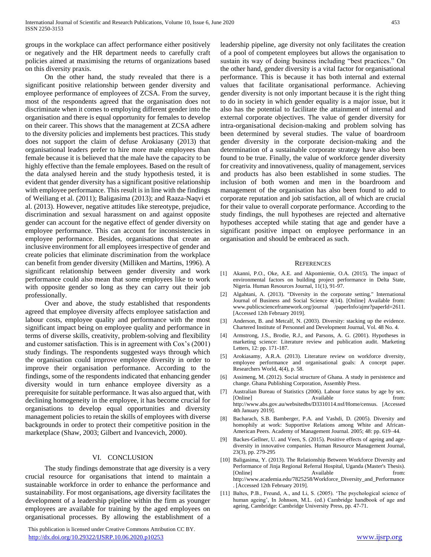groups in the workplace can affect performance either positively or negatively and the HR department needs to carefully craft policies aimed at maximising the returns of organizations based on this diversity praxis.

On the other hand, the study revealed that there is a significant positive relationship between gender diversity and employee performance of employees of ZCSA. From the survey, most of the respondents agreed that the organisation does not discriminate when it comes to employing different gender into the organisation and there is equal opportunity for females to develop on their career. This shows that the management at ZCSA adhere to the diversity policies and implements best practices. This study does not support the claim of defuse Arokiasany (2013) that organisational leaders prefer to hire more male employees than female because it is believed that the male have the capacity to be highly effective than the female employees. Based on the result of the data analysed herein and the study hypothesis tested, it is evident that gender diversity has a significant positive relationship with employee performance. This result is in line with the findings of Weiliang et al. (2011); Baligasima (2013); and Raaza-Naqvi et al. (2013). However, negative attitudes like stereotype, prejudice, discrimination and sexual harassment on and against opposite gender can account for the negative effect of gender diversity on employee performance. This can account for inconsistencies in employee performance. Besides, organisations that create an inclusive environment for all employees irrespective of gender and create policies that eliminate discrimination from the workplace can benefit from gender diversity (Milliken and Martins, 1996). A significant relationship between gender diversity and work performance could also mean that some employees like to work with opposite gender so long as they can carry out their job professionally.

Over and above, the study established that respondents agreed that employee diversity affects employee satisfaction and labour costs, employee quality and performance with the most significant impact being on employee quality and performance in terms of diverse skills, creativity, problem-solving and flexibility and customer satisfaction. This is in agreement with Cox's (2001) study findings. The respondents suggested ways through which the organisation could improve employee diversity in order to improve their organisation performance. According to the findings, some of the respondents indicated that enhancing gender diversity would in turn enhance employee diversity as a prerequisite for suitable performance. It was also argued that, with declining homogeneity in the employee, it has become crucial for organisations to develop equal opportunities and diversity management policies to retain the skills of employees with diverse backgrounds in order to protect their competitive position in the marketplace (Shaw, 2003; Gilbert and Ivancevich, 2000).

#### VI. CONCLUSION

The study findings demonstrate that age diversity is a very crucial resource for organisations that intend to maintain a sustainable workforce in order to enhance the performance and sustainability. For most organisations, age diversity facilitates the development of a leadership pipeline within the firm as younger employees are available for training by the aged employees on organisational processes. By allowing the establishment of a

 This publication is licensed under Creative Commons Attribution CC BY. <http://dx.doi.org/10.29322/IJSRP.10.06.2020.p10253> [www.ijsrp.org](http://ijsrp.org/)

leadership pipeline, age diversity not only facilitates the creation of a pool of competent employees but allows the organisation to sustain its way of doing business including "best practices." On the other hand, gender diversity is a vital factor for organisational performance. This is because it has both internal and external values that facilitate organisational performance. Achieving gender diversity is not only important because it is the right thing to do in society in which gender equality is a major issue, but it also has the potential to facilitate the attainment of internal and external corporate objectives. The value of gender diversity for intra-organisational decision-making and problem solving has been determined by several studies. The value of boardroom gender diversity in the corporate decision-making and the determination of a sustainable corporate strategy have also been found to be true. Finally, the value of workforce gender diversity for creativity and innovativeness, quality of management, services and products has also been established in some studies. The inclusion of both women and men in the boardroom and management of the organisation has also been found to add to corporate reputation and job satisfaction, all of which are crucial for their value to overall corporate performance. According to the study findings, the null hypotheses are rejected and alternative hypotheses accepted while stating that age and gender have a significant positive impact on employee performance in an organisation and should be embraced as such.

#### **REFERENCES**

- [1] Akanni, P.O., Oke, A.E. and Akpomiemie, O.A. (2015). The impact of environmental factors on building project performance in Delta State, Nigeria. Human Resources Journal, 11(1), 91-97.
- [2] Algahtani, A. (2013). "Diversity in the corporate setting." International Journal of Business and Social Science 4(14). [Online] Available from: www.publicscienceframework.org/journal /paperInfo/ajmr?paperId=2611. [Accessed 12th February 2019].
- [3] Anderson, B. and Metcalf, N. (2003). Diversity: stacking up the evidence. Chartered Institute of Personnel and Development Journal, Vol. 48 No. 4.
- [4] Armstrong, J.S., Brodie, R.J., and Parsons, A. G. (2001). Hypotheses in marketing science: Literature review and publication audit. Marketing Letters, 12: pp. 171-187.
- [5] Arokiasamy, A.R.A. (2013). Literature review on workforce diversity, employee performance and organisational goals: A concept paper. Researchers World, 4(4), p. 58.
- [6] Assimeng, M. (2012). Social structure of Ghana. A study in persistence and change. Ghana Publishing Corporation, Assembly Press.
- [7] Australian Bureau of Statistics (2006). Labour force status by age by sex. [Online] Available from: http://www.abs.gov.au/websitedbs/D3310114.nsf/Home/census. [Accessed 4th January 2019].
- [8] Bacharach, S.B. Bamberger, P.A. and Vashdi, D. (2005). Diversity and homophily at work: Supportive Relations among White and African-American Peers. Academy of Management Journal. 2005; 48: pp. 619–44.
- [9] Backes-Gellner, U. and Veen, S. (2015). Positive effects of ageing and agediversity in innovative companies. Human Resource Management Journal, 23(3), pp. 279-295
- [10] Baligasima, Y. (2013). The Relationship Between Workforce Diversity and Performance of Jinja Regional Referral Hospital, Uganda (Master's Thesis). [Online] Available from: http://www.academia.edu/7825258/Workforce\_Diversity\_and\_Performance . [Accessed 12th February 2019].
- [11] Baltes, P.B., Freund, A., and Li, S. (2005). 'The psychological science of human ageing', In Johnson, M.L. (ed.) Cambridge handbook of age and ageing, Cambridge: Cambridge University Press, pp. 47-71.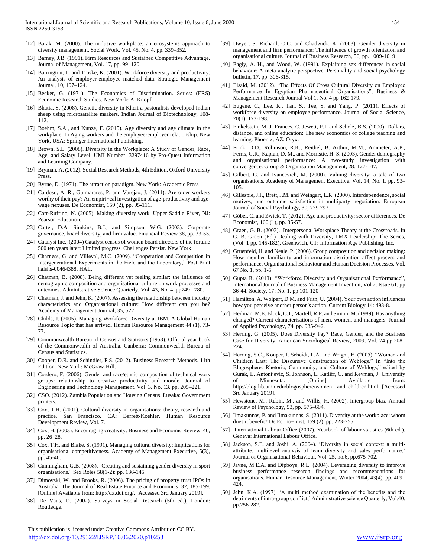- [12] Barak, M. (2000). The inclusive workplace: an ecosystems approach to diversity management. Social Work. Vol. 45, No. 4. pp. 339–352.
- [13] Barney, J.B. (1991). Firm Resources and Sustained Competitive Advantage. Journal of Management, Vol. 17, pp. 99–120.
- [14] Barrington, L. and Troske, K. (2001). Workforce diversity and productivity: An analysis of employer-employee matched data. Strategic Management Journal, 10, 107–124.
- [15] Becker, G. (1971). The Economics of Discrimination. Series: (ERS) Economic Research Studies. New York: A. Knopf.
- [16] Bhatia, S. (2008). Genetic diversity in Kheri a pastoralists developed Indian sheep using microsatellite markers. Indian Journal of Biotechnology, 108- 112.
- [17] Boehm, S.A., and Kunze, F. (2015). Age diversity and age climate in the workplace. In Aging workers and the employee-employer relationship. New York, USA: Springer International Publishing.
- [18] Brown, S.L. (2008). Diversity in the Workplace: A Study of Gender, Race, Age, and Salary Level. UMI Number: 3297416 by Pro-Quest Information and Learning Company.
- [19] Bryman, A. (2012). Social Research Methods, 4th Edition, Oxford University Press.
- [20] Byrne, D. (1971). The attraction paradigm. New York: Academic Press
- [21] Cardoso, A. R., Guimarares, P. and Varejao, J. (2011). Are older workers worthy of their pay? An empiri¬cal investigation of age-productivity and agewage nexuses. De Economist, 159 (2), pp. 95-111.
- [22] Carr-Ruffino, N. (2005). Making diversity work. Upper Saddle River, NJ: Pearson Education.
- [23] Carter, D.A. Simkins, B.J., and Simpson, W.G. (2003). Corporate governance, board diversity, and firm value. Financial Review 38, pp. 33-53.
- [24] Catalyst Inc., (2004) Catalyst census of women board directors of the fortune 500 ten years later: Limited progress, Challenges Persist. New York.
- [25] Charness, G. and Villeval, M.C. (2009). "Cooperation and Competition in Intergenerational Experiments in the Field and the Laboratory," Post-Print halshs-00464388, HAL.
- [26] Chatman, B. (2008). Being different yet feeling similar: the influence of demographic composition and organisational culture on work processes and outcomes. Administrative Science Quarterly. Vol. 43, No. 4. pp749– 780.
- [27] Chatman, J. and Jehn, K. (2007). Assessing the relationship between industry characteristics and Organisational culture: How different can you be? Academy of Management Journal, 35, 522.
- [28] Childs, J. (2005). Managing Workforce Diversity at IBM. A Global Human Resource Topic that has arrived. Human Resource Management 44 (1), 73- 77.
- [29] Commonwealth Bureau of Census and Statistics (1958). Official year book of the Commonwealth of Australia. Canberra: Commonwealth Bureau of Census and Statistics.
- [30] Cooper, D.R. and Schindler, P.S. (2012). Business Research Methods. 11th Edition. New York: McGraw-Hill.
- [31] Cordero, F. (2006). Gender and race/ethnic composition of technical work groups: relationship to creative productivity and morale. Journal of Engineering and Technology Management. Vol. 3. No. 13. pp. 205–221.
- [32] CSO. (2012). Zambia Population and Housing Census. Lusaka: Government printers.
- [33] Cox, T.H. (2001). Cultural diversity in organisations: theory, research and practice. San Francisco, CA: Berrett-Koehler. Human Resource Development Review, Vol. 7.
- [34] Cox, H. (2003). Encouraging creativity. Business and Economic Review, 40, pp. 26–28.
- [35] Cox, T.H. and Blake, S. (1991). Managing cultural diversity: Implications for organisational competitiveness. Academy of Management Executive, 5(3), pp. 45-46.
- [36] Cunningham, G.B. (2008). "Creating and sustaining gender diversity in sport organisations." Sex Roles 58(1-2): pp. 136-145.
- [37] Dimovski, W. and Brooks, R. (2006). The pricing of property trust IPOs in Australia. The Journal of Real Estate Finance and Economics, 32, 185-199. [Online] Available from: http://dx.doi.org/. [Accessed 3rd January 2019].
- [38] De Vaus, D. (2002). Surveys in Social Research (5th ed.), London: Routledge.

 This publication is licensed under Creative Commons Attribution CC BY. <http://dx.doi.org/10.29322/IJSRP.10.06.2020.p10253> [www.ijsrp.org](http://ijsrp.org/)

- [39] Dwyer, S. Richard, O.C. and Chadwick, K. (2003). Gender diversity in management and firm performance: The influence of growth orientation and organisational culture. Journal of Business Research, 56, pp. 1009-1019
- [40] Eagly, A. H., and Wood, W. (1991). Explaining sex differences in social behaviour: A meta analytic perspective. Personality and social psychology bulletin, 17, pp. 306-315.
- [41] Elsaid, M. (2012). "The Effects Of Cross Cultural Diversity on Employee Performance In Egyptian Pharmaceutical Organisations", Business & Management Research Journal Vol 1. No. 4 pp 162-179.
- [42] Eugene, C., Lee, K., Tan. S., Tee, S. and Yang, P. (2011). Effects of workforce diversity on employee performance. Journal of Social Science, 20(1), 173-198.
- [43] Finkelstein, M. J. Frances, C. Jewett, F.I. and Scholz, B.S. (2000). Dollars, distance, and online education: The new economics of college teaching and learning. Phoenix, AZ: Oryx.
- [44] Frink, D.D., Robinson, R.K., Reithel, B. Arthur, M.M., Ammeter, A.P., Ferris, G.R., Kaplan, D. M., and Morristte, H. S. (2003). Gender demography and organisational performance: A two-study investigation with convergence. Group & Organisation Management, 28: 127-147.
- [45] Gilbert, G. and Ivancevich, M. (2000). Valuing diversity: a tale of two organisations. Academy of Management Executive. Vol. 14, No. 1. pp. 93– 105.
- [46] Gillespie, J.J., Brett, J.M. and Weingart, L.R. (2000). Interdependence, social motives, and outcome satisfaction in multiparty negotiation. European Journal of Social Psychology, 30, 779 797.
- [47] Göbel, C. and Zwick, T. (2012). Age and productivity: sector differences. De Economist, 160 (1), pp. 35-57.
- [48] Graen, G. B. (2003). Interpersonal Workplace Theory at the Crossroads. In G. B. Graen (Ed.) Dealing with Diversity, LMX Leadership: The Series, (Vol. 1 pp. 145-182), Greenwich, CT: Information Age Publishing, Inc.
- [49] Gruenfeld, H. and Neale, P. (2006). Group composition and decision making: How member familiarity and information distribution affect process and performance. Organisational Behaviour and Human Decision Processes, Vol. 67 No. 1, pp. 1-5.
- [50] Gupta R. (2013). "Workforce Diversity and Organisational Performance", International Journal of Business Management Invention, Vol 2. Issue 61, pp 36-44. Society, 17: No. 1, pp 101-120
- [51] Hamilton, A. Wolpert, D.M. and Frith, U. (2004). Your own action influences how you perceive another person's action. Current Biology 14: 493-8.
- [52] Heilman, M.E. Block, C.J., Martell, R.F. and Simon, M. (1989). Has anything changed? Current characterisations of men, women, and managers. Journal of Applied Psychology, 74, pp. 935-942.
- [53] Herring, G. (2005). Does Diversity Pay? Race, Gender, and the Business Case for Diversity, American Sociological Review, 2009, Vol. 74 pp.208– 224.
- [54] Herring, S.C., Kouper, I. Scheidt, L.A. and Wright, E. (2005). "Women and Children Last: The Discursive Construction of Weblogs." In "Into the Blogosphere: Rhetoric, Community, and Culture of Weblogs," edited by Gurak, L. Antonijevic, S. Johnson, L. Ratliff, C. and Reyman, J. University of Minnesota. [Online] Available from: http://blog.lib.umn.edu/blogosphere/women \_and\_children.html. [Accessed 3rd January 2019].
- [55] Hewstone, M., Rubin, M., and Willis, H. (2002). Intergroup bias. Annual Review of Psychology, 53, pp. 575–604.
- [56] Ilmakunnas, P. and Ilmakunnas, S. (2011). Diversity at the workplace: whom does it benefit? De Econo¬mist, 159 (2), pp. 223-255.
- [57] International Labour Office (2007). Yearbook of labour statistics (6th ed.). Geneva: International Labour Office.
- [58] Jackson, S.E. and Joshi, A. (2004). 'Diversity in social context: a multiattribute, multilevel analysis of team diversity and sales performance,' Journal of Organisational Behaviour, Vol. 25, no.6, pp.675-702.
- [59] Jayne, M.E.A. and Dipboye, R.L. (2004). Leveraging diversity to improve business performance research findings and recommendations for organisations. Human Resource Management, Winter 2004, 43(4), pp. 409– 424.
- [60] Jehn, K.A. (1997). 'A multi method examination of the benefits and the detriments of intra-group conflict,' Administrative science Quarterly, Vol.40, pp.256-282.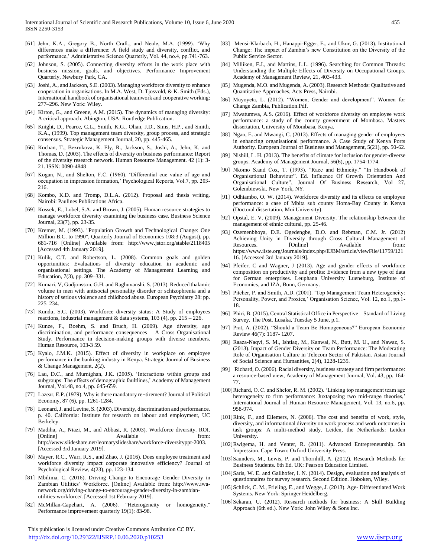- [61] Jehn, K.A., Gregory B., North Craft., and Neale, M.A. (1999). 'Why differences make a difference: A field study and diversity, conflict, and performance,' Administrative Science Quarterly, Vol. 44, no.4, pp.741-763.
- [62] Johnson, S. (2005). Connecting diversity efforts in the work place with business mission, goals, and objectives. Performance Improvement Quarterly, Newbury Park, CA.
- [63] Joshi, A., and Jackson, S.E. (2003). Managing workforce diversity to enhance cooperation in organisations. In M.A. West, D. Tjosvold, & K. Smith (Eds.), International handbook of organisational teamwork and cooperative working: 277–296. New York: Wiley.
- [64] Kirton, G., and Greene, A.M. (2015). The dynamics of managing diversity: A critical approach. Abington, USA: Routledge Publication.
- [65] Knight, D., Pearce, C.L., Smith, K.G., Olian, J.D., Sims, H.P., and Smith, K.A., (1999). Top management team diversity, group process, and strategic consensus. Strategic Management Journal, 20, pp. 445-465.
- [66] Kochan, T., Bezrukova, K. Ely, R., Jackson, S., Joshi, A., Jehn, K, and Thomas, D. (2003). The effects of diversity on business performance: Report of the diversity research network. Human Resource Management. 42 (1): 3- 21. ISSN: 0090-4848
- [67] Kogan, N., and Shelton, F.C. (1960). 'Differential cue value of age and occupation in impression formation,' Psychological Reports, Vol.7, pp. 203- 216.
- [68] Kombo, K.D. and Tromp, D.L.A. (2012). Proposal and thesis writing. Nairobi: Paulines Publications Africa.
- [69] Kossek, E., Lobel, S.A. and Brown, J. (2005). Human resource strategies to manage workforce diversity examining the business case. Business Science Journal, 23(7), pp. 23-35.
- [70] Kremer, M. (1993). "Population Growth and Technological Change: One Million B.C. to 1990", Quarterly Journal of Economics 108:3 (August), pp. 681-716 [Online] Available from: http://www.jstor.org/stable/2118405 [Accessed 4th January 2019].
- [71] Kulik, C.T. and Robertson, L. (2008). Common goals and golden opportunities: Evaluations of diversity education in academic and organisational settings. The Academy of Management Learning and Education, 7(3), pp. 309–331.
- [72] Kumari, V, Gudjonsson, G.H. and Raghuvanshi, S. (2013). Reduced thalamic volume in men with antisocial personality disorder or schizophrenia and a history of serious violence and childhood abuse. European Psychiatry 28: pp. 225–234.
- [73] Kundu, S.C. (2003). Workforce diversity status: A Study of employees reactions, industrial management & data systems,  $103$  (4), pp.  $215 - 226$ .
- [74] Kunze, F., Boehm, S. and Bruch, H. (2009). Age diversity, age discrimination, and performance consequences – A Cross Organisational Study. Performance in decision-making groups with diverse members. Human Resource, 103-3 59.
- [75] Kyalo, J.M.K. (2015). Effect of diversity in workplace on employee performance in the banking industry in Kenya. Strategic Journal of Business & Change Management, 2(2).
- [76] Lau, D.C., and Murnighan, J.K. (2005). 'Interactions within groups and subgroups: The effects of demographic faultlines,' Academy of Management Journal, Vol.48, no.4, pp. 645-659.
- [77] Lazear, E.P. (1979). Why is there mandatory re¬tirement? Journal of Political Economy, 87 (6), pp. 1261-1284.
- [78] Leonard, J. and Levine, S. (2003). Diversity, discrimination and performance. p. 40. California: Institute for research on labour and employment, UC Berkeley.
- [79] Madiha, A., Niazi, M., and Abbasi, R. (2003). Workforce diversity. ROI. [Online] Available from: http://www.slideshare.net/leomaryslideshare/workforce-diversityppt-2003. [Accessed 3rd January 2019].
- [80] Mayer, R.C., Warr, R.S., and Zhao, J. (2016). Does employee treatment and workforce diversity impact corporate innovative efficiency? Journal of Psychological Review, 4(23), pp. 123-134.
- [81] Mbilima, C. (2016). Driving Change to Encourage Gender Diversity in Zambian Utilities' Workforce. [Online] Available from: http://www.iwanetwork.org/driving-change-to-encourage-gender-diversity-in-zambianutilities-workforce/. [Accessed 1st February 2019].
- [82] McMillan-Capehart, A. (2006). "Heterogeneity or homogeneity." Performance improvement quarterly 19(1): 83-98.

 This publication is licensed under Creative Commons Attribution CC BY. <http://dx.doi.org/10.29322/IJSRP.10.06.2020.p10253> [www.ijsrp.org](http://ijsrp.org/)

- [83] Mensi-Klarbach, H., Hanappi-Egger, E., and Ukur, G. (2013). Institutional Change: The impact of Zambia's new Constitution on the Diversity of the Public Service Sector.
- [84] Milliken, F.J., and Martins, L.L. (1996). Searching for Common Threads: Understanding the Multiple Effects of Diversity on Occupational Groups. Academy of Management Review, 21, 403-433.
- [85] Mugenda, M.O. and Mugenda, A. (2003). Research Methods: Qualitative and Quantitative Approaches, Acts Press, Nairobi.
- [86] Muyoyeta, L. (2012). "Women, Gender and development". Women for Change Zambia, Publication.Pdf.
- [87] Mwatumwa, A.S. (2016). Effect of workforce diversity on employee work performance: a study of the county government of Mombasa. Masters dissertation, University of Mombasa, Kenya.
- [88] Ngao, E. and Mwangi, C. (2013). Effects of managing gender of employees in enhancing organisational performance. A Case Study of Kenya Ports Authority. European Journal of Business and Management, 5(21), pp. 50-62.
- [89] Nishill, L. H. (2013). The benefits of climate for inclusion for gender-diverse groups. Academy of Management Journal, 56(6), pp. 1754-1774.
- [90] Nkomo S.and Cox, T. (1993). "Race and Ethnicity." "In Handbook of Organisational Behaviour". Ed. Influence Of Growth Orientation And Organisational Culture", Journal Of Business Research, Vol 27, Golembiewski. New York, NY.
- [91] Odhiambo, O. W. (2014). Workforce diversity and its effects on employee performance: a case of Mbita sub county Homa-Bay County in Kenya (Doctoral dissertation, Moi University).
- [92] Opstal, E. V. (2009). Management Diversity. The relationship between the management of ethnic cultural, pp. 25-46.
- [93] Ozemenbhoya, D.E. Ogedengbe, D.O. and Rebman, C.M. Jr. (2012) Achieving Unity in Diversity through Cross Cultural Management of Resources. [Online] Available from: https://www.iiste.org/Journals/index.php/EJBM/article/viewFile/11759/121 16. [Accessed 3rd January 2019].
- [94] Pfeifer, C and Wagner, J (2013). Age and gender effects of workforce composition on productivity and profits: Evidence from a new type of data for German enterprises. Leuphana University Lueneburg, Institute of Economics, and IZA, Bonn, Germany.
- [95] Pitcher, P. and Smith, A.D. (2001). 'Top Management Team Heterogeneity: Personality, Power, and Proxies,' Organisation Science, Vol. 12, no.1, pp.1- 18.
- [96] Phiri, B. (2015). Central Statistical Office in Perspective Standard of Living Survey. The Post. Lusaka, Tuesday 5 June, p.1.
- [97] Prat, A. (2002). "Should a Team Be Homogeneous?" European Economic Review 46(7): 1187- 1207.
- [98] Raaza-Naqvi, S. M., Ishtiaq, M., Kanwai, N., Butt, M. U., and Nawaz, S. (2013). Impact of Gender Diversity on Team Performance: The Moderating Role of Organisation Culture in Telecom Sector of Pakistan. Asian Journal of Social Science and Humanities, 2(4), 1228-1235.
- [99] Richard, O. (2006). Racial diversity, business strategy and firm performance: a resource-based view, Academy of Management Journal, Vol. 43, pp. 164- 77.
- [100]Richard, O. C. and Shelor, R. M. (2002). 'Linking top management team age heterogeneity to firm performance: Juxtaposing two mid-range theories,' International Journal of Human Resource Management, Vol. 13, no.6, pp. 958-974.
- [101]Rink, F., and Ellemers, N. (2006). The cost and benefits of work, style, diversity, and informational diversity on work process and work outcomes in task groups: A multi-method study. Leiden, the Netherlands: Leiden University.
- [102]Rwigema, H. and Venter, R. (2011). Advanced Entrepreneurship. 5th Impression. Cape Town: Oxford University Press.
- [103]Saunders, M., Lewis, P. and Thornhill, A. (2012). Research Methods for Business Students. 6th Ed. UK: Pearson Education Limited.
- [104]Saris, W. E. and Gallhofer, I. N. (2014). Design, evaluation and analysis of questionnaires for survey research. Second Edition. Hoboken, Wiley.
- [105]Schlick, C. M., Frieling, E., and Wegge, J. (2013). Age-Differentiated Work Systems. New York: Springer Heidelberg.
- [106]Sekaran, U. (2012). Research methods for business: A Skill Building Approach (6th ed.). New York: John Wiley & Sons Inc.